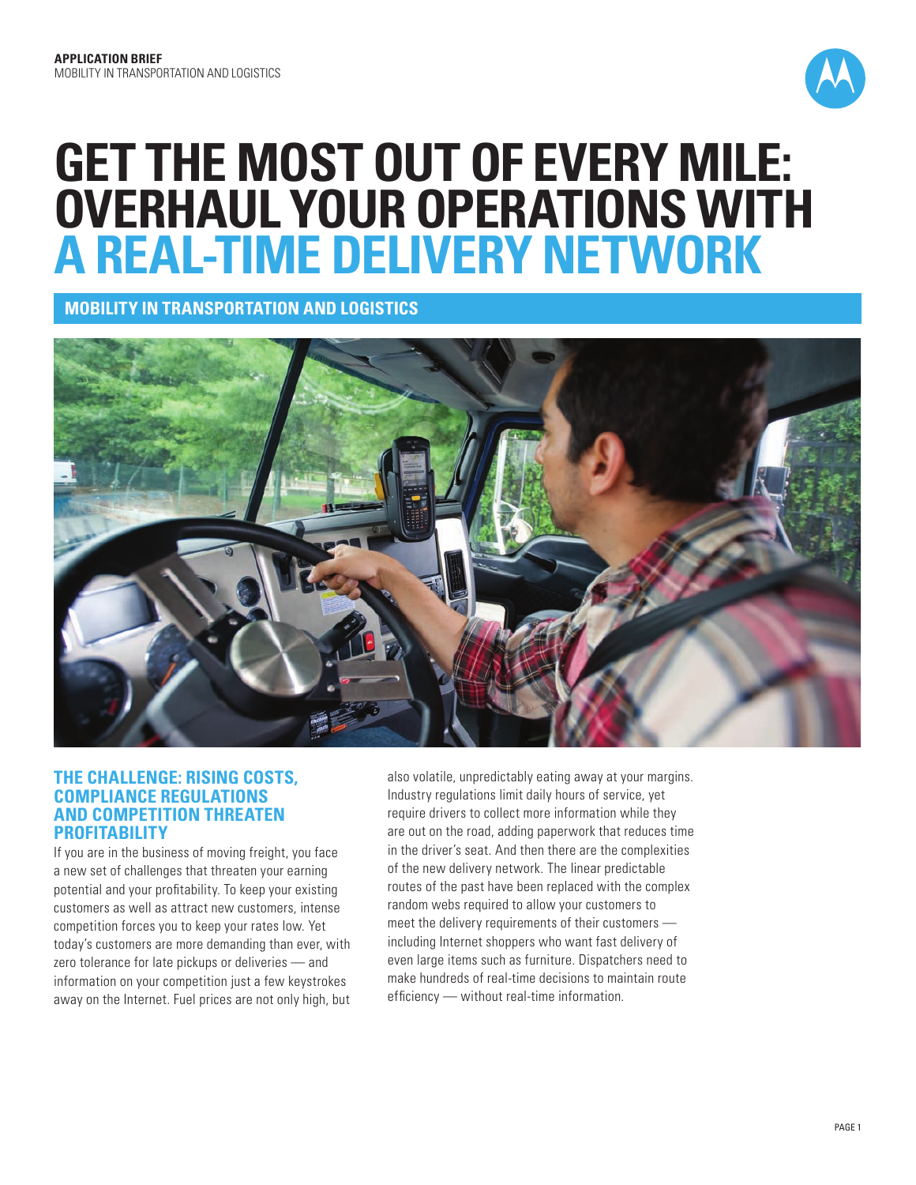

# **Get the most out of every mile: overhaul your operations with a real-time delivery network**

**Mobility in Transportation and Logistics**



# **The challenge: Rising costs, compliance regulations and competition threaten profitability**

If you are in the business of moving freight, you face a new set of challenges that threaten your earning potential and your profitability. To keep your existing customers as well as attract new customers, intense competition forces you to keep your rates low. Yet today's customers are more demanding than ever, with zero tolerance for late pickups or deliveries — and information on your competition just a few keystrokes away on the Internet. Fuel prices are not only high, but

also volatile, unpredictably eating away at your margins. Industry regulations limit daily hours of service, yet require drivers to collect more information while they are out on the road, adding paperwork that reduces time in the driver's seat. And then there are the complexities of the new delivery network. The linear predictable routes of the past have been replaced with the complex random webs required to allow your customers to meet the delivery requirements of their customers including Internet shoppers who want fast delivery of even large items such as furniture. Dispatchers need to make hundreds of real-time decisions to maintain route efficiency — without real-time information.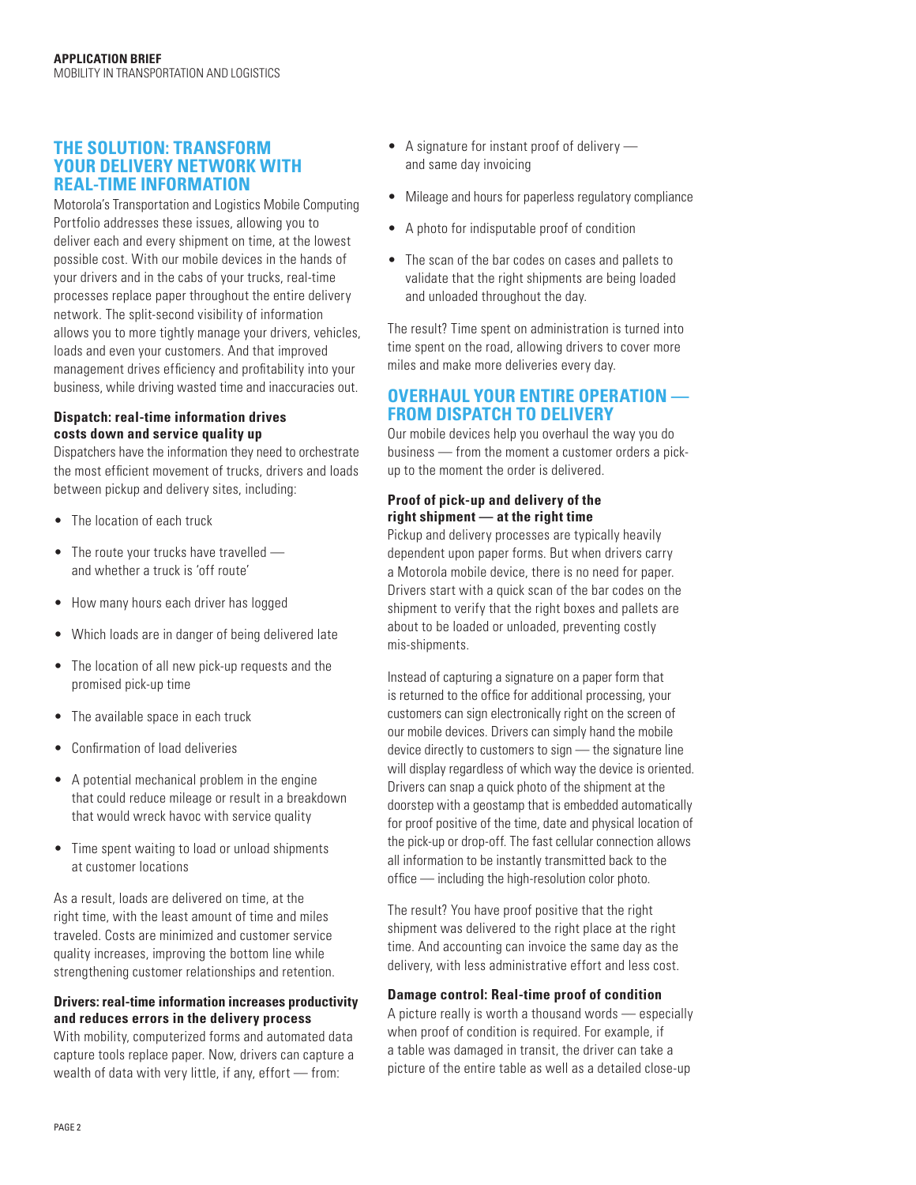# **The solution: transform your delivery network with real-time information**

Motorola's Transportation and Logistics Mobile Computing Portfolio addresses these issues, allowing you to deliver each and every shipment on time, at the lowest possible cost. With our mobile devices in the hands of your drivers and in the cabs of your trucks, real-time processes replace paper throughout the entire delivery network. The split-second visibility of information allows you to more tightly manage your drivers, vehicles, loads and even your customers. And that improved management drives efficiency and profitability into your business, while driving wasted time and inaccuracies out.

#### **Dispatch: real-time information drives costs down and service quality up**

Dispatchers have the information they need to orchestrate the most efficient movement of trucks, drivers and loads between pickup and delivery sites, including:

- The location of each truck
- The route your trucks have travelled and whether a truck is 'off route'
- How many hours each driver has logged
- Which loads are in danger of being delivered late
- The location of all new pick-up requests and the promised pick-up time
- The available space in each truck
- Confirmation of load deliveries
- A potential mechanical problem in the engine that could reduce mileage or result in a breakdown that would wreck havoc with service quality
- Time spent waiting to load or unload shipments at customer locations

As a result, loads are delivered on time, at the right time, with the least amount of time and miles traveled. Costs are minimized and customer service quality increases, improving the bottom line while strengthening customer relationships and retention.

#### **Drivers: real-time information increases productivity and reduces errors in the delivery process**

With mobility, computerized forms and automated data capture tools replace paper. Now, drivers can capture a wealth of data with very little, if any, effort — from:

- A signature for instant proof of delivery and same day invoicing
- Mileage and hours for paperless regulatory compliance
- A photo for indisputable proof of condition
- The scan of the bar codes on cases and pallets to validate that the right shipments are being loaded and unloaded throughout the day.

The result? Time spent on administration is turned into time spent on the road, allowing drivers to cover more miles and make more deliveries every day.

# **OVERHAUL YOUR ENTIRE OPERATION from dispatch to delivery**

Our mobile devices help you overhaul the way you do business — from the moment a customer orders a pickup to the moment the order is delivered.

### **Proof of pick-up and delivery of the right shipment — at the right time**

Pickup and delivery processes are typically heavily dependent upon paper forms. But when drivers carry a Motorola mobile device, there is no need for paper. Drivers start with a quick scan of the bar codes on the shipment to verify that the right boxes and pallets are about to be loaded or unloaded, preventing costly mis-shipments.

Instead of capturing a signature on a paper form that is returned to the office for additional processing, your customers can sign electronically right on the screen of our mobile devices. Drivers can simply hand the mobile device directly to customers to sign — the signature line will display regardless of which way the device is oriented. Drivers can snap a quick photo of the shipment at the doorstep with a geostamp that is embedded automatically for proof positive of the time, date and physical location of the pick-up or drop-off. The fast cellular connection allows all information to be instantly transmitted back to the office — including the high-resolution color photo.

The result? You have proof positive that the right shipment was delivered to the right place at the right time. And accounting can invoice the same day as the delivery, with less administrative effort and less cost.

#### **Damage control: Real-time proof of condition**

A picture really is worth a thousand words — especially when proof of condition is required. For example, if a table was damaged in transit, the driver can take a picture of the entire table as well as a detailed close-up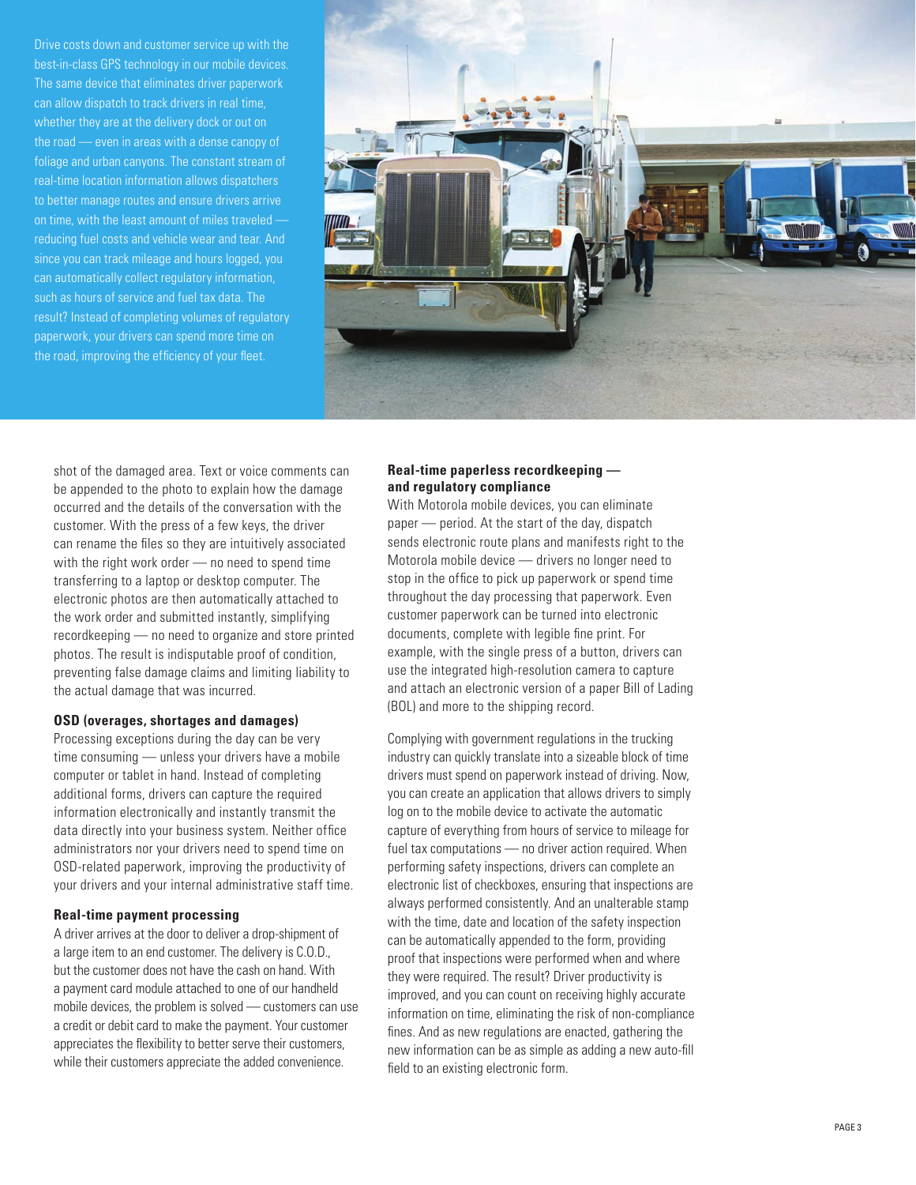Drive costs down and customer service up with the best-in-class GPS technology in our mobile devices. The same device that eliminates driver paperwork can allow dispatch to track drivers in real time, whether they are at the delivery dock or out on the road — even in areas with a dense canopy of foliage and urban canyons. The constant stream of real-time location information allows dispatchers to better manage routes and ensure drivers arrive on time, with the least amount of miles traveled reducing fuel costs and vehicle wear and tear. And since you can track mileage and hours logged, you can automatically collect regulatory information, such as hours of service and fuel tax data. The result? Instead of completing volumes of regulatory paperwork, your drivers can spend more time on the road, improving the efficiency of your fleet.



shot of the damaged area. Text or voice comments can be appended to the photo to explain how the damage occurred and the details of the conversation with the customer. With the press of a few keys, the driver can rename the files so they are intuitively associated with the right work order — no need to spend time transferring to a laptop or desktop computer. The electronic photos are then automatically attached to the work order and submitted instantly, simplifying recordkeeping — no need to organize and store printed photos. The result is indisputable proof of condition, preventing false damage claims and limiting liability to the actual damage that was incurred.

#### **OSD (overages, shortages and damages)**

Processing exceptions during the day can be very time consuming — unless your drivers have a mobile computer or tablet in hand. Instead of completing additional forms, drivers can capture the required information electronically and instantly transmit the data directly into your business system. Neither office administrators nor your drivers need to spend time on OSD-related paperwork, improving the productivity of your drivers and your internal administrative staff time.

#### **Real-time payment processing**

A driver arrives at the door to deliver a drop-shipment of a large item to an end customer. The delivery is C.O.D., but the customer does not have the cash on hand. With a payment card module attached to one of our handheld mobile devices, the problem is solved — customers can use a credit or debit card to make the payment. Your customer appreciates the flexibility to better serve their customers, while their customers appreciate the added convenience.

#### **Real-time paperless recordkeeping and regulatory compliance**

With Motorola mobile devices, you can eliminate paper — period. At the start of the day, dispatch sends electronic route plans and manifests right to the Motorola mobile device — drivers no longer need to stop in the office to pick up paperwork or spend time throughout the day processing that paperwork. Even customer paperwork can be turned into electronic documents, complete with legible fine print. For example, with the single press of a button, drivers can use the integrated high-resolution camera to capture and attach an electronic version of a paper Bill of Lading (BOL) and more to the shipping record.

Complying with government regulations in the trucking industry can quickly translate into a sizeable block of time drivers must spend on paperwork instead of driving. Now, you can create an application that allows drivers to simply log on to the mobile device to activate the automatic capture of everything from hours of service to mileage for fuel tax computations — no driver action required. When performing safety inspections, drivers can complete an electronic list of checkboxes, ensuring that inspections are always performed consistently. And an unalterable stamp with the time, date and location of the safety inspection can be automatically appended to the form, providing proof that inspections were performed when and where they were required. The result? Driver productivity is improved, and you can count on receiving highly accurate information on time, eliminating the risk of non-compliance fines. And as new regulations are enacted, gathering the new information can be as simple as adding a new auto-fill field to an existing electronic form.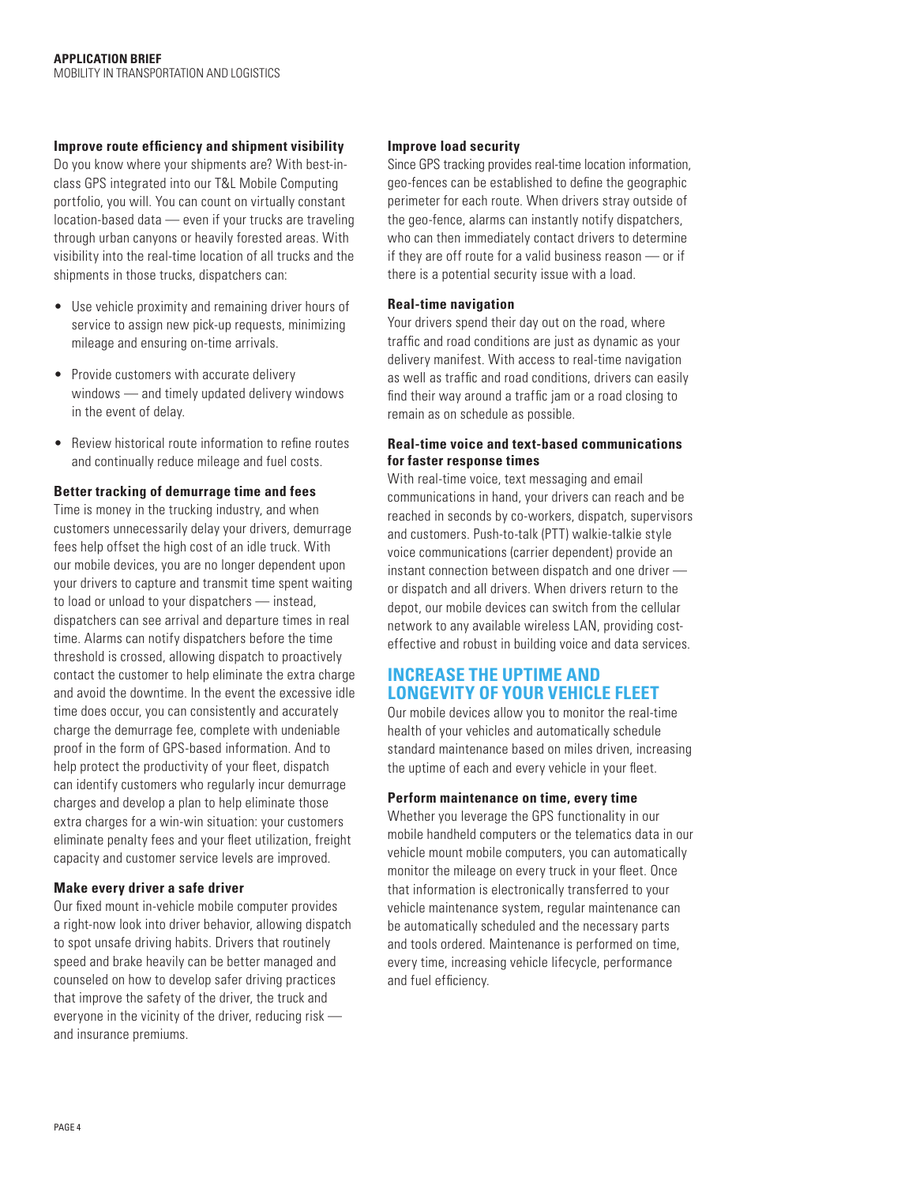#### **Improve route efficiency and shipment visibility**

Do you know where your shipments are? With best-inclass GPS integrated into our T&L Mobile Computing portfolio, you will. You can count on virtually constant location-based data — even if your trucks are traveling through urban canyons or heavily forested areas. With visibility into the real-time location of all trucks and the shipments in those trucks, dispatchers can:

- Use vehicle proximity and remaining driver hours of service to assign new pick-up requests, minimizing mileage and ensuring on-time arrivals.
- Provide customers with accurate delivery windows — and timely updated delivery windows in the event of delay.
- Review historical route information to refine routes and continually reduce mileage and fuel costs.

#### **Better tracking of demurrage time and fees**

Time is money in the trucking industry, and when customers unnecessarily delay your drivers, demurrage fees help offset the high cost of an idle truck. With our mobile devices, you are no longer dependent upon your drivers to capture and transmit time spent waiting to load or unload to your dispatchers — instead, dispatchers can see arrival and departure times in real time. Alarms can notify dispatchers before the time threshold is crossed, allowing dispatch to proactively contact the customer to help eliminate the extra charge and avoid the downtime. In the event the excessive idle time does occur, you can consistently and accurately charge the demurrage fee, complete with undeniable proof in the form of GPS -based information. And to help protect the productivity of your fleet, dispatch can identify customers who regularly incur demurrage charges and develop a plan to help eliminate those extra charges for a win-win situation: your customers eliminate penalty fees and your fleet utilization, freight capacity and customer service levels are improved.

#### **Make every driver a safe driver**

Our fixed mount in-vehicle mobile computer provides a right-now look into driver behavior, allowing dispatch to spot unsafe driving habits. Drivers that routinely speed and brake heavily can be better managed and counseled on how to develop safer driving practices that improve the safety of the driver, the truck and everyone in the vicinity of the driver, reducing risk and insurance premiums.

#### **Improve load security**

Since GPS tracking provides real-time location information, geo-fences can be established to define the geographic perimeter for each route. When drivers stray outside of the geo-fence, alarms can instantly notify dispatchers, who can then immediately contact drivers to determine if they are off route for a valid business reason — or if there is a potential security issue with a load.

#### **Real-time navigation**

Your drivers spend their day out on the road, where traffic and road conditions are just as dynamic as your delivery manifest. With access to real-time navigation as well as traffic and road conditions, drivers can easily find their way around a traffic jam or a road closing to remain as on schedule as possible.

#### **Real-time voice and text-based communications for faster response times**

With real-time voice, text messaging and email communications in hand, your drivers can reach and be reached in seconds by co-workers, dispatch, supervisors and customers. Push-to-talk (PTT) walkie-talkie style voice communications (carrier dependent) provide an instant connection between dispatch and one driver or dispatch and all drivers. When drivers return to the depot, our mobile devices can switch from the cellular network to any available wireless LAN, providing costeffective and robust in building voice and data services.

# **Increase the uptime and longevity of your vehicle fleet**

Our mobile devices allow you to monitor the real-time health of your vehicles and automatically schedule standard maintenance based on miles driven, increasing the uptime of each and every vehicle in your fleet.

#### **Perform maintenance on time, every time**

Whether you leverage the GPS functionality in our mobile handheld computers or the telematics data in our vehicle mount mobile computers, you can automatically monitor the mileage on every truck in your fleet. Once that information is electronically transferred to your vehicle maintenance system, regular maintenance can be automatically scheduled and the necessary parts and tools ordered. Maintenance is performed on time, every time, increasing vehicle lifecycle, performance and fuel efficiency.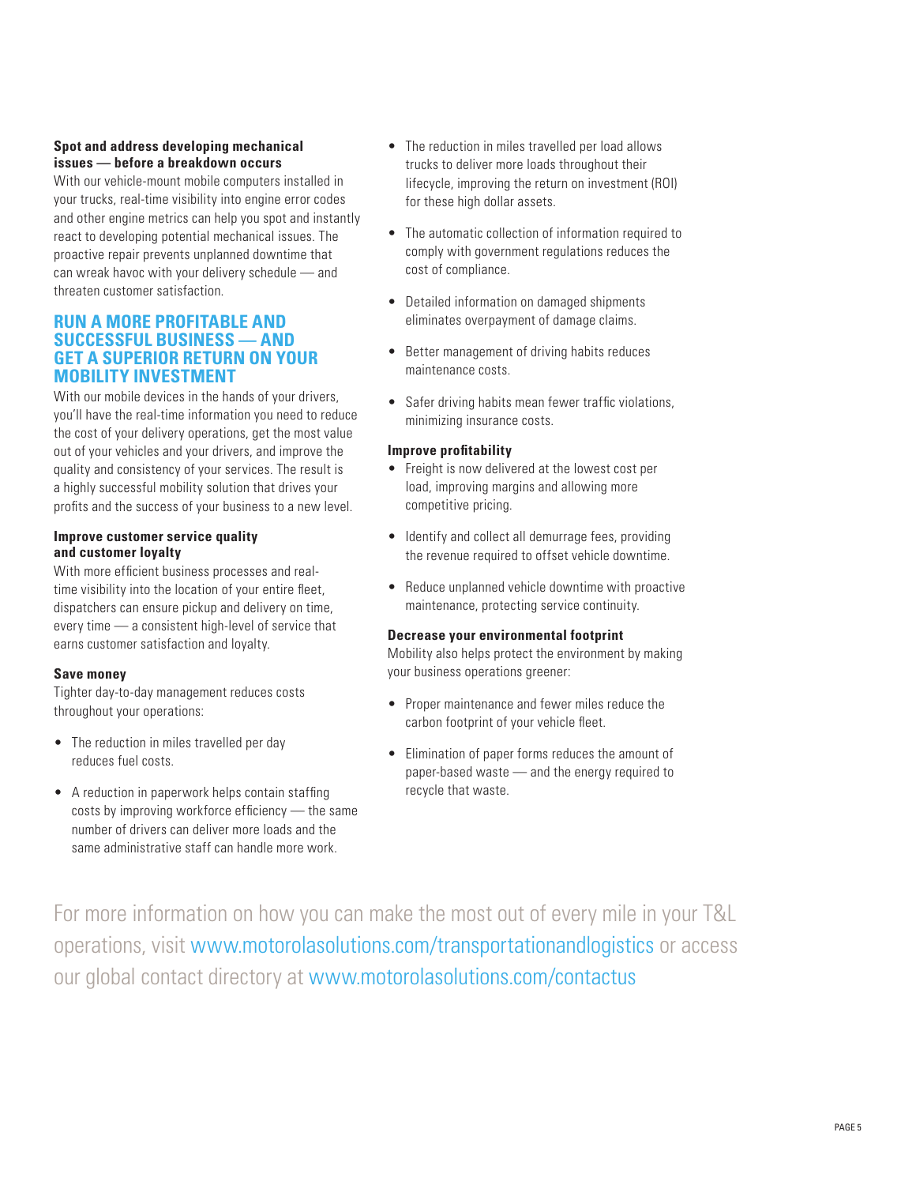## **Spot and address developing mechanical issues — before a breakdown occurs**

With our vehicle-mount mobile computers installed in your trucks, real-time visibility into engine error codes and other engine metrics can help you spot and instantly react to developing potential mechanical issues. The proactive repair prevents unplanned downtime that can wreak havoc with your delivery schedule — and threaten customer satisfaction.

# **Run a more profitable and successful business — and get a superior return on your mobility investment**

With our mobile devices in the hands of your drivers, you'll have the real-time information you need to reduce the cost of your delivery operations, get the most value out of your vehicles and your drivers, and improve the quality and consistency of your services. The result is a highly successful mobility solution that drives your profits and the success of your business to a new level.

#### **Improve customer service quality and customer loyalty**

With more efficient business processes and realtime visibility into the location of your entire fleet, dispatchers can ensure pickup and delivery on time, every time — a consistent high-level of service that earns customer satisfaction and loyalty.

#### **Save money**

Tighter day-to-day management reduces costs throughout your operations:

- The reduction in miles travelled per day reduces fuel costs.
- A reduction in paperwork helps contain staffing costs by improving workforce efficiency — the same number of drivers can deliver more loads and the same administrative staff can handle more work.
- The reduction in miles travelled per load allows trucks to deliver more loads throughout their lifecycle, improving the return on investment (ROI) for these high dollar assets.
- The automatic collection of information required to comply with government regulations reduces the cost of compliance.
- Detailed information on damaged shipments eliminates overpayment of damage claims.
- Better management of driving habits reduces maintenance costs.
- Safer driving habits mean fewer traffic violations, minimizing insurance costs.

#### **Improve profitability**

- Freight is now delivered at the lowest cost per load, improving margins and allowing more competitive pricing.
- Identify and collect all demurrage fees, providing the revenue required to offset vehicle downtime.
- Reduce unplanned vehicle downtime with proactive maintenance, protecting service continuity.

#### **Decrease your environmental footprint**

Mobility also helps protect the environment by making your business operations greener:

- Proper maintenance and fewer miles reduce the carbon footprint of your vehicle fleet.
- Elimination of paper forms reduces the amount of paper-based waste — and the energy required to recycle that waste.

For more information on how you can make the most out of every mile in your T&L operations, visit www.motorolasolutions.com/transportationandlogistics or access our global contact directory at www.motorolasolutions.com/contactus